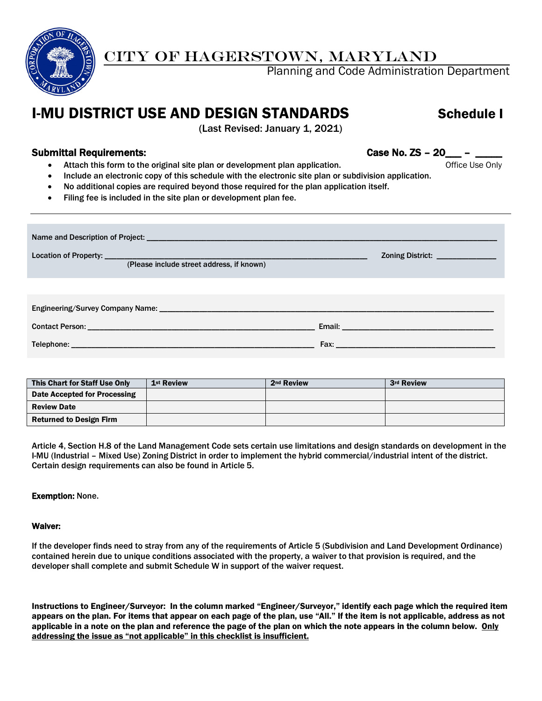

## CITY OF HAGERSTOWN, MARYLAND

Planning and Code Administration Department

# **I-MU DISTRICT USE AND DESIGN STANDARDS Schedule I**

(Last Revised: January 1, 2021)

## Submittal Requirements: Case No. ZS – 20\_\_\_ – Case No. ZS – 20\_\_

- Attach this form to the original site plan or development plan application. The manner of the Use Only
- Include an electronic copy of this schedule with the electronic site plan or subdivision application.
- No additional copies are required beyond those required for the plan application itself.
- Filing fee is included in the site plan or development plan fee.

| (Please include street address, if known) | Zoning District: ______________                    |
|-------------------------------------------|----------------------------------------------------|
|                                           |                                                    |
|                                           |                                                    |
|                                           | <b>Fax:</b> <u>_______________________________</u> |

| This Chart for Staff Use Only  | 1 <sup>st</sup> Review | 2 <sup>nd</sup> Review | 3rd Review |
|--------------------------------|------------------------|------------------------|------------|
| Date Accepted for Processing   |                        |                        |            |
| <b>Review Date</b>             |                        |                        |            |
| <b>Returned to Design Firm</b> |                        |                        |            |

Article 4, Section H.8 of the Land Management Code sets certain use limitations and design standards on development in the I-MU (Industrial – Mixed Use) Zoning District in order to implement the hybrid commercial/industrial intent of the district. Certain design requirements can also be found in Article 5.

### Exemption: None.

#### Waiver:

If the developer finds need to stray from any of the requirements of Article 5 (Subdivision and Land Development Ordinance) contained herein due to unique conditions associated with the property, a waiver to that provision is required, and the developer shall complete and submit Schedule W in support of the waiver request.

Instructions to Engineer/Surveyor: In the column marked "Engineer/Surveyor," identify each page which the required item appears on the plan. For items that appear on each page of the plan, use "All." If the item is not applicable, address as not applicable in a note on the plan and reference the page of the plan on which the note appears in the column below. Only addressing the issue as "not applicable" in this checklist is insufficient.